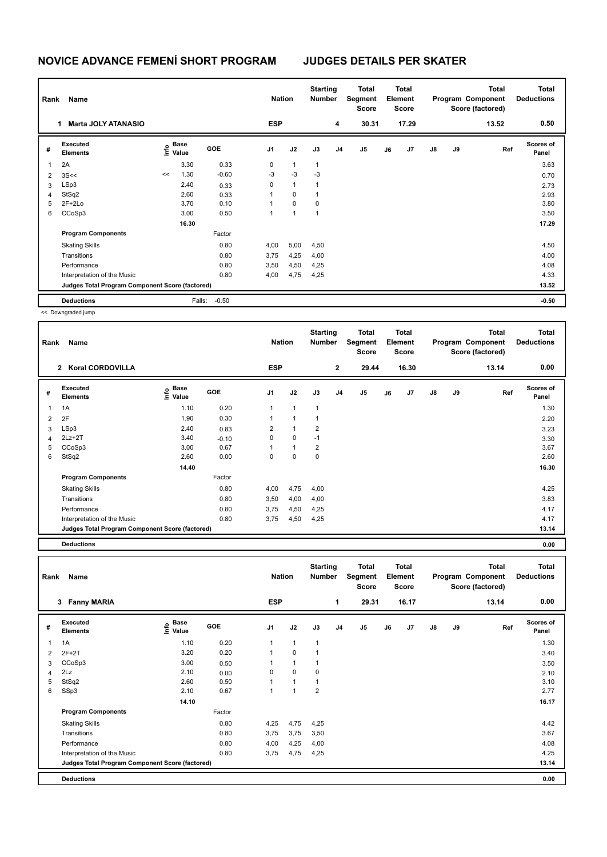| Rank           | Name                                            |    |                           |            | <b>Nation</b>  |                | <b>Starting</b><br><b>Number</b> |                | <b>Total</b><br>Segment<br><b>Score</b> |    | <b>Total</b><br>Element<br><b>Score</b> |               |    | <b>Total</b><br>Program Component<br>Score (factored) | Total<br><b>Deductions</b> |
|----------------|-------------------------------------------------|----|---------------------------|------------|----------------|----------------|----------------------------------|----------------|-----------------------------------------|----|-----------------------------------------|---------------|----|-------------------------------------------------------|----------------------------|
|                | <b>Marta JOLY ATANASIO</b><br>1.                |    |                           |            | <b>ESP</b>     |                |                                  | 4              | 30.31                                   |    | 17.29                                   |               |    | 13.52                                                 | 0.50                       |
| #              | Executed<br><b>Elements</b>                     |    | Base<br>o Base<br>⊆ Value | <b>GOE</b> | J <sub>1</sub> | J2             | J3                               | J <sub>4</sub> | J5                                      | J6 | J7                                      | $\mathsf{J}8$ | J9 | Ref                                                   | <b>Scores of</b><br>Panel  |
|                | 2A                                              |    | 3.30                      | 0.33       | 0              | 1              | $\mathbf{1}$                     |                |                                         |    |                                         |               |    |                                                       | 3.63                       |
| $\overline{2}$ | 3S<<                                            | << | 1.30                      | $-0.60$    | $-3$           | $-3$           | $-3$                             |                |                                         |    |                                         |               |    |                                                       | 0.70                       |
| 3              | LSp3                                            |    | 2.40                      | 0.33       | 0              | $\mathbf{1}$   | 1                                |                |                                         |    |                                         |               |    |                                                       | 2.73                       |
| 4              | StSq2                                           |    | 2.60                      | 0.33       |                | 0              | 1                                |                |                                         |    |                                         |               |    |                                                       | 2.93                       |
| 5              | $2F+2Lo$                                        |    | 3.70                      | 0.10       |                | $\Omega$       | $\mathbf 0$                      |                |                                         |    |                                         |               |    |                                                       | 3.80                       |
| 6              | CCoSp3                                          |    | 3.00                      | 0.50       |                | $\overline{ }$ | 1                                |                |                                         |    |                                         |               |    |                                                       | 3.50                       |
|                |                                                 |    | 16.30                     |            |                |                |                                  |                |                                         |    |                                         |               |    |                                                       | 17.29                      |
|                | <b>Program Components</b>                       |    |                           | Factor     |                |                |                                  |                |                                         |    |                                         |               |    |                                                       |                            |
|                | <b>Skating Skills</b>                           |    |                           | 0.80       | 4,00           | 5,00           | 4,50                             |                |                                         |    |                                         |               |    |                                                       | 4.50                       |
|                | Transitions                                     |    |                           | 0.80       | 3,75           | 4,25           | 4,00                             |                |                                         |    |                                         |               |    |                                                       | 4.00                       |
|                | Performance                                     |    |                           | 0.80       | 3,50           | 4,50           | 4,25                             |                |                                         |    |                                         |               |    |                                                       | 4.08                       |
|                | Interpretation of the Music                     |    |                           | 0.80       | 4,00           | 4,75           | 4,25                             |                |                                         |    |                                         |               |    |                                                       | 4.33                       |
|                | Judges Total Program Component Score (factored) |    |                           |            |                |                |                                  |                |                                         |    |                                         |               |    |                                                       | 13.52                      |
|                | <b>Deductions</b>                               |    | Falls:                    | $-0.50$    |                |                |                                  |                |                                         |    |                                         |               |    |                                                       | $-0.50$                    |

<< Downgraded jump

| Rank | Name                                            |                           |         | <b>Nation</b>  |                | <b>Starting</b><br><b>Number</b> |                | <b>Total</b><br>Segment<br>Score |    | Total<br>Element<br><b>Score</b> |               |    | <b>Total</b><br>Program Component<br>Score (factored) | <b>Total</b><br><b>Deductions</b> |
|------|-------------------------------------------------|---------------------------|---------|----------------|----------------|----------------------------------|----------------|----------------------------------|----|----------------------------------|---------------|----|-------------------------------------------------------|-----------------------------------|
|      | 2 Koral CORDOVILLA                              |                           |         | <b>ESP</b>     |                |                                  | $\mathbf{2}$   | 29.44                            |    | 16.30                            |               |    | 13.14                                                 | 0.00                              |
| #    | Executed<br><b>Elements</b>                     | Base<br>e Base<br>⊆ Value | GOE     | J <sub>1</sub> | J2             | J3                               | J <sub>4</sub> | J <sub>5</sub>                   | J6 | J <sub>7</sub>                   | $\mathsf{J}8$ | J9 | Ref                                                   | <b>Scores of</b><br>Panel         |
| 1    | 1A                                              | 1.10                      | 0.20    | 1              | $\mathbf{1}$   | $\mathbf{1}$                     |                |                                  |    |                                  |               |    |                                                       | 1.30                              |
| 2    | 2F                                              | 1.90                      | 0.30    | 1              | $\mathbf{1}$   | $\mathbf 1$                      |                |                                  |    |                                  |               |    |                                                       | 2.20                              |
| 3    | LSp3                                            | 2.40                      | 0.83    | $\overline{2}$ | 1              | $\overline{2}$                   |                |                                  |    |                                  |               |    |                                                       | 3.23                              |
| 4    | $2Lz+2T$                                        | 3.40                      | $-0.10$ | 0              | $\mathbf 0$    | $-1$                             |                |                                  |    |                                  |               |    |                                                       | 3.30                              |
| 5    | CCoSp3                                          | 3.00                      | 0.67    | $\mathbf 1$    | $\overline{1}$ | $\overline{2}$                   |                |                                  |    |                                  |               |    |                                                       | 3.67                              |
| 6    | StSq2                                           | 2.60                      | 0.00    | 0              | 0              | $\mathbf 0$                      |                |                                  |    |                                  |               |    |                                                       | 2.60                              |
|      |                                                 | 14.40                     |         |                |                |                                  |                |                                  |    |                                  |               |    |                                                       | 16.30                             |
|      | <b>Program Components</b>                       |                           | Factor  |                |                |                                  |                |                                  |    |                                  |               |    |                                                       |                                   |
|      | <b>Skating Skills</b>                           |                           | 0.80    | 4,00           | 4,75           | 4,00                             |                |                                  |    |                                  |               |    |                                                       | 4.25                              |
|      | Transitions                                     |                           | 0.80    | 3,50           | 4,00           | 4,00                             |                |                                  |    |                                  |               |    |                                                       | 3.83                              |
|      | Performance                                     |                           | 0.80    | 3,75           | 4,50           | 4,25                             |                |                                  |    |                                  |               |    |                                                       | 4.17                              |
|      | Interpretation of the Music                     |                           | 0.80    | 3,75           | 4,50           | 4,25                             |                |                                  |    |                                  |               |    |                                                       | 4.17                              |
|      | Judges Total Program Component Score (factored) |                           |         |                |                |                                  |                |                                  |    |                                  |               |    |                                                       | 13.14                             |

**Deductions 0.00**

| Rank | Name                                            |                             |            | <b>Nation</b>  |              | <b>Starting</b><br><b>Number</b> |    | Total<br>Segment<br><b>Score</b> |    | Total<br>Element<br><b>Score</b> |               |    | <b>Total</b><br>Program Component<br>Score (factored) | <b>Total</b><br><b>Deductions</b> |
|------|-------------------------------------------------|-----------------------------|------------|----------------|--------------|----------------------------------|----|----------------------------------|----|----------------------------------|---------------|----|-------------------------------------------------------|-----------------------------------|
|      | <b>Fanny MARIA</b><br>$\mathbf{3}$              |                             |            | <b>ESP</b>     |              |                                  | 1  | 29.31                            |    | 16.17                            |               |    | 13.14                                                 | 0.00                              |
| #    | Executed<br><b>Elements</b>                     | Base<br>$\frac{6}{5}$ Value | <b>GOE</b> | J <sub>1</sub> | J2           | J3                               | J4 | J <sub>5</sub>                   | J6 | J7                               | $\mathsf{J}8$ | J9 | Ref                                                   | <b>Scores of</b><br>Panel         |
| 1    | 1A                                              | 1.10                        | 0.20       | 1              | $\mathbf{1}$ | $\mathbf{1}$                     |    |                                  |    |                                  |               |    |                                                       | 1.30                              |
| 2    | $2F+2T$                                         | 3.20                        | 0.20       | 1              | $\Omega$     | 1                                |    |                                  |    |                                  |               |    |                                                       | 3.40                              |
| 3    | CCoSp3                                          | 3.00                        | 0.50       | 1              | $\mathbf{1}$ | 1                                |    |                                  |    |                                  |               |    |                                                       | 3.50                              |
| 4    | 2Lz                                             | 2.10                        | 0.00       | 0              | $\mathbf 0$  | 0                                |    |                                  |    |                                  |               |    |                                                       | 2.10                              |
| 5    | StSq2                                           | 2.60                        | 0.50       | 1              | 1            | 1                                |    |                                  |    |                                  |               |    |                                                       | 3.10                              |
| 6    | SSp3                                            | 2.10                        | 0.67       | 1              | 1            | 2                                |    |                                  |    |                                  |               |    |                                                       | 2.77                              |
|      |                                                 | 14.10                       |            |                |              |                                  |    |                                  |    |                                  |               |    |                                                       | 16.17                             |
|      | <b>Program Components</b>                       |                             | Factor     |                |              |                                  |    |                                  |    |                                  |               |    |                                                       |                                   |
|      | <b>Skating Skills</b>                           |                             | 0.80       | 4,25           | 4,75         | 4,25                             |    |                                  |    |                                  |               |    |                                                       | 4.42                              |
|      | Transitions                                     |                             | 0.80       | 3,75           | 3,75         | 3,50                             |    |                                  |    |                                  |               |    |                                                       | 3.67                              |
|      | Performance                                     |                             | 0.80       | 4,00           | 4,25         | 4,00                             |    |                                  |    |                                  |               |    |                                                       | 4.08                              |
|      | Interpretation of the Music                     |                             | 0.80       | 3,75           | 4,75         | 4,25                             |    |                                  |    |                                  |               |    |                                                       | 4.25                              |
|      | Judges Total Program Component Score (factored) |                             |            |                |              |                                  |    |                                  |    |                                  |               |    |                                                       | 13.14                             |
|      | <b>Deductions</b>                               |                             |            |                |              |                                  |    |                                  |    |                                  |               |    |                                                       | 0.00                              |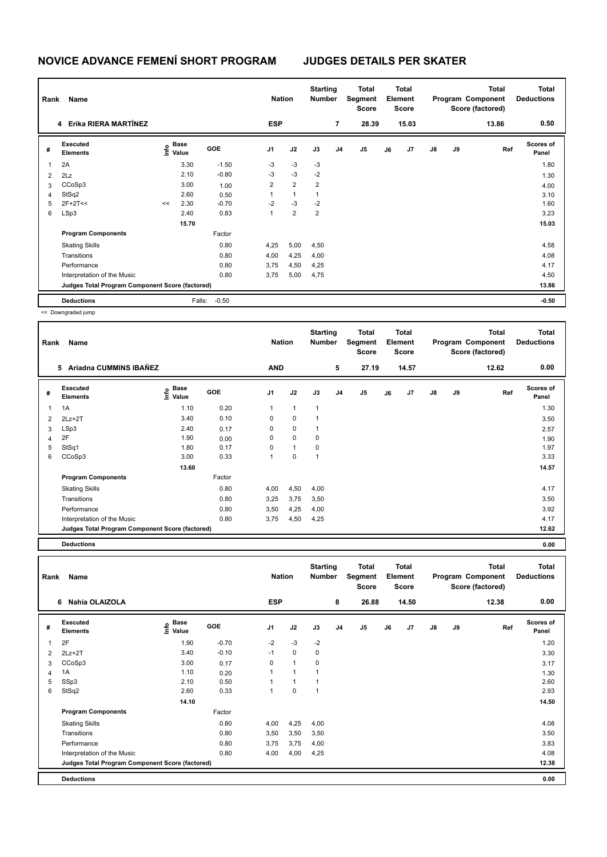|                | Rank<br>Name<br>4 Erika RIERA MARTÍNEZ          |    |                           |         | <b>Nation</b>  |                | <b>Starting</b><br><b>Number</b> |                | Total<br>Segment<br><b>Score</b> |    | <b>Total</b><br>Element<br><b>Score</b> |               |    | <b>Total</b><br>Program Component<br>Score (factored) | Total<br><b>Deductions</b> |
|----------------|-------------------------------------------------|----|---------------------------|---------|----------------|----------------|----------------------------------|----------------|----------------------------------|----|-----------------------------------------|---------------|----|-------------------------------------------------------|----------------------------|
|                |                                                 |    |                           |         | <b>ESP</b>     |                |                                  | $\overline{7}$ | 28.39                            |    | 15.03                                   |               |    | 13.86                                                 | 0.50                       |
| #              | Executed<br><b>Elements</b>                     |    | Base<br>o Base<br>⊆ Value | GOE     | J <sub>1</sub> | J2             | J3                               | J <sub>4</sub> | J5                               | J6 | J7                                      | $\mathsf{J}8$ | J9 | Ref                                                   | <b>Scores of</b><br>Panel  |
|                | 2A                                              |    | 3.30                      | $-1.50$ | $-3$           | $-3$           | $-3$                             |                |                                  |    |                                         |               |    |                                                       | 1.80                       |
| $\overline{2}$ | 2Lz                                             |    | 2.10                      | $-0.80$ | $-3$           | $-3$           | $-2$                             |                |                                  |    |                                         |               |    |                                                       | 1.30                       |
| 3              | CCoSp3                                          |    | 3.00                      | 1.00    | $\overline{2}$ | $\overline{2}$ | $\overline{2}$                   |                |                                  |    |                                         |               |    |                                                       | 4.00                       |
| 4              | StSq2                                           |    | 2.60                      | 0.50    | 1              | 1              | 1                                |                |                                  |    |                                         |               |    |                                                       | 3.10                       |
| 5              | $2F+2T<<$                                       | << | 2.30                      | $-0.70$ | $-2$           | $-3$           | $-2$                             |                |                                  |    |                                         |               |    |                                                       | 1.60                       |
| 6              | LSp3                                            |    | 2.40                      | 0.83    | $\overline{ }$ | $\overline{2}$ | $\overline{2}$                   |                |                                  |    |                                         |               |    |                                                       | 3.23                       |
|                |                                                 |    | 15.70                     |         |                |                |                                  |                |                                  |    |                                         |               |    |                                                       | 15.03                      |
|                | <b>Program Components</b>                       |    |                           | Factor  |                |                |                                  |                |                                  |    |                                         |               |    |                                                       |                            |
|                | <b>Skating Skills</b>                           |    |                           | 0.80    | 4,25           | 5,00           | 4,50                             |                |                                  |    |                                         |               |    |                                                       | 4.58                       |
|                | Transitions                                     |    |                           | 0.80    | 4,00           | 4,25           | 4,00                             |                |                                  |    |                                         |               |    |                                                       | 4.08                       |
|                | Performance                                     |    |                           | 0.80    | 3,75           | 4,50           | 4,25                             |                |                                  |    |                                         |               |    |                                                       | 4.17                       |
|                | Interpretation of the Music                     |    |                           | 0.80    | 3,75           | 5,00           | 4,75                             |                |                                  |    |                                         |               |    |                                                       | 4.50                       |
|                | Judges Total Program Component Score (factored) |    |                           |         |                |                |                                  |                |                                  |    |                                         |               |    |                                                       | 13.86                      |
|                | <b>Deductions</b>                               |    | Falls:                    | $-0.50$ |                |                |                                  |                |                                  |    |                                         |               |    |                                                       | $-0.50$                    |

<< Downgraded jump

| Rank | Name                                            |                       |            | <b>Nation</b>  |              | <b>Starting</b><br><b>Number</b> |                | Total<br>Segment<br><b>Score</b> |    | <b>Total</b><br>Element<br><b>Score</b> |               |    | Total<br>Program Component<br>Score (factored) | <b>Total</b><br><b>Deductions</b> |
|------|-------------------------------------------------|-----------------------|------------|----------------|--------------|----------------------------------|----------------|----------------------------------|----|-----------------------------------------|---------------|----|------------------------------------------------|-----------------------------------|
|      | Ariadna CUMMINS IBAÑEZ<br>5.                    |                       |            | <b>AND</b>     |              |                                  | 5              | 27.19                            |    | 14.57                                   |               |    | 12.62                                          | 0.00                              |
| #    | Executed<br>Elements                            | Base<br>١nf٥<br>Value | <b>GOE</b> | J <sub>1</sub> | J2           | J3                               | J <sub>4</sub> | J <sub>5</sub>                   | J6 | J7                                      | $\mathsf{J}8$ | J9 | Ref                                            | <b>Scores of</b><br>Panel         |
| 1    | 1A                                              | 1.10                  | 0.20       | 1              | $\mathbf{1}$ | $\mathbf{1}$                     |                |                                  |    |                                         |               |    |                                                | 1.30                              |
| 2    | $2Lz+2T$                                        | 3.40                  | 0.10       | 0              | $\mathbf 0$  | 1                                |                |                                  |    |                                         |               |    |                                                | 3.50                              |
| 3    | LSp3                                            | 2.40                  | 0.17       | 0              | $\mathbf 0$  | $\overline{1}$                   |                |                                  |    |                                         |               |    |                                                | 2.57                              |
| 4    | 2F                                              | 1.90                  | 0.00       | 0              | $\mathbf 0$  | 0                                |                |                                  |    |                                         |               |    |                                                | 1.90                              |
| 5    | StSq1                                           | 1.80                  | 0.17       | 0              | $\mathbf{1}$ | 0                                |                |                                  |    |                                         |               |    |                                                | 1.97                              |
| 6    | CCoSp3                                          | 3.00                  | 0.33       | 1              | 0            | 1                                |                |                                  |    |                                         |               |    |                                                | 3.33                              |
|      |                                                 | 13.60                 |            |                |              |                                  |                |                                  |    |                                         |               |    |                                                | 14.57                             |
|      | <b>Program Components</b>                       |                       | Factor     |                |              |                                  |                |                                  |    |                                         |               |    |                                                |                                   |
|      | <b>Skating Skills</b>                           |                       | 0.80       | 4,00           | 4,50         | 4,00                             |                |                                  |    |                                         |               |    |                                                | 4.17                              |
|      | Transitions                                     |                       | 0.80       | 3,25           | 3,75         | 3,50                             |                |                                  |    |                                         |               |    |                                                | 3.50                              |
|      | Performance                                     |                       | 0.80       | 3,50           | 4,25         | 4,00                             |                |                                  |    |                                         |               |    |                                                | 3.92                              |
|      | Interpretation of the Music                     |                       | 0.80       | 3,75           | 4,50         | 4,25                             |                |                                  |    |                                         |               |    |                                                | 4.17                              |
|      | Judges Total Program Component Score (factored) |                       |            |                |              |                                  |                |                                  |    |                                         |               |    |                                                | 12.62                             |

**Deductions 0.00**

| Rank | Name                                            |                             |         | <b>Nation</b>  |                | <b>Starting</b><br><b>Number</b> |                | Total<br>Segment<br><b>Score</b> |    | <b>Total</b><br>Element<br><b>Score</b> |    |    | <b>Total</b><br>Program Component<br>Score (factored) | <b>Total</b><br><b>Deductions</b> |
|------|-------------------------------------------------|-----------------------------|---------|----------------|----------------|----------------------------------|----------------|----------------------------------|----|-----------------------------------------|----|----|-------------------------------------------------------|-----------------------------------|
|      | Nahia OLAIZOLA<br>6                             |                             |         | <b>ESP</b>     |                |                                  | 8              | 26.88                            |    | 14.50                                   |    |    | 12.38                                                 | 0.00                              |
| #    | <b>Executed</b><br><b>Elements</b>              | Base<br>$\frac{6}{5}$ Value | GOE     | J <sub>1</sub> | J2             | J3                               | J <sub>4</sub> | J <sub>5</sub>                   | J6 | J <sub>7</sub>                          | J8 | J9 | Ref                                                   | <b>Scores of</b><br>Panel         |
| 1    | 2F                                              | 1.90                        | $-0.70$ | $-2$           | $-3$           | $-2$                             |                |                                  |    |                                         |    |    |                                                       | 1.20                              |
| 2    | $2Lz+2T$                                        | 3.40                        | $-0.10$ | $-1$           | $\mathbf 0$    | 0                                |                |                                  |    |                                         |    |    |                                                       | 3.30                              |
| 3    | CCoSp3                                          | 3.00                        | 0.17    | 0              | $\overline{1}$ | 0                                |                |                                  |    |                                         |    |    |                                                       | 3.17                              |
| 4    | 1A                                              | 1.10                        | 0.20    |                | 1              | 1                                |                |                                  |    |                                         |    |    |                                                       | 1.30                              |
| 5    | SSp3                                            | 2.10                        | 0.50    |                | 1              | 1                                |                |                                  |    |                                         |    |    |                                                       | 2.60                              |
| 6    | StSq2                                           | 2.60                        | 0.33    | 1              | $\mathbf 0$    | $\mathbf{1}$                     |                |                                  |    |                                         |    |    |                                                       | 2.93                              |
|      |                                                 | 14.10                       |         |                |                |                                  |                |                                  |    |                                         |    |    |                                                       | 14.50                             |
|      | <b>Program Components</b>                       |                             | Factor  |                |                |                                  |                |                                  |    |                                         |    |    |                                                       |                                   |
|      | <b>Skating Skills</b>                           |                             | 0.80    | 4,00           | 4,25           | 4,00                             |                |                                  |    |                                         |    |    |                                                       | 4.08                              |
|      | Transitions                                     |                             | 0.80    | 3,50           | 3,50           | 3,50                             |                |                                  |    |                                         |    |    |                                                       | 3.50                              |
|      | Performance                                     |                             | 0.80    | 3,75           | 3,75           | 4,00                             |                |                                  |    |                                         |    |    |                                                       | 3.83                              |
|      | Interpretation of the Music                     |                             | 0.80    | 4,00           | 4,00           | 4,25                             |                |                                  |    |                                         |    |    |                                                       | 4.08                              |
|      | Judges Total Program Component Score (factored) |                             |         |                |                |                                  |                |                                  |    |                                         |    |    |                                                       | 12.38                             |
|      | <b>Deductions</b>                               |                             |         |                |                |                                  |                |                                  |    |                                         |    |    |                                                       | 0.00                              |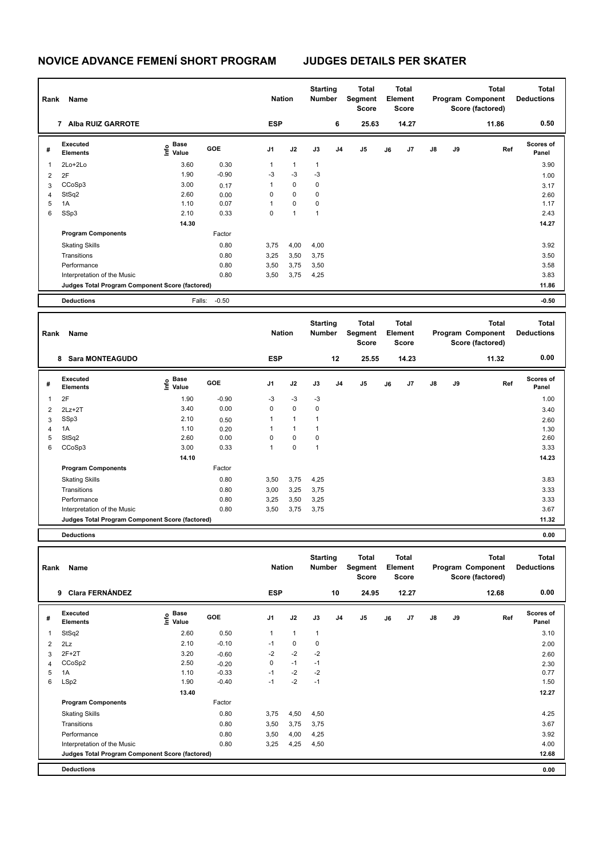| Rank | Name                                            |                                  |            | <b>Nation</b> |              | <b>Starting</b><br><b>Number</b> |                | Total<br>Segment<br><b>Score</b> |    | <b>Total</b><br>Element<br><b>Score</b> |               |    | <b>Total</b><br>Program Component<br>Score (factored) | <b>Total</b><br><b>Deductions</b> |
|------|-------------------------------------------------|----------------------------------|------------|---------------|--------------|----------------------------------|----------------|----------------------------------|----|-----------------------------------------|---------------|----|-------------------------------------------------------|-----------------------------------|
|      | <b>Alba RUIZ GARROTE</b><br>7                   |                                  |            | <b>ESP</b>    |              |                                  | 6              | 25.63                            |    | 14.27                                   |               |    | 11.86                                                 | 0.50                              |
| #    | Executed<br><b>Elements</b>                     | <b>Base</b><br>o Base<br>⊆ Value | <b>GOE</b> | J1            | J2           | J3                               | J <sub>4</sub> | J5                               | J6 | J <sub>7</sub>                          | $\mathsf{J}8$ | J9 | Ref                                                   | <b>Scores of</b><br>Panel         |
| 1    | $2Lo+2Lo$                                       | 3.60                             | 0.30       | 1             | $\mathbf{1}$ | $\mathbf{1}$                     |                |                                  |    |                                         |               |    |                                                       | 3.90                              |
| 2    | 2F                                              | 1.90                             | $-0.90$    | $-3$          | $-3$         | $-3$                             |                |                                  |    |                                         |               |    |                                                       | 1.00                              |
| 3    | CCoSp3                                          | 3.00                             | 0.17       | 1             | $\mathbf 0$  | $\mathbf 0$                      |                |                                  |    |                                         |               |    |                                                       | 3.17                              |
| 4    | StSq2                                           | 2.60                             | 0.00       | 0             | $\mathbf 0$  | $\mathbf 0$                      |                |                                  |    |                                         |               |    |                                                       | 2.60                              |
| 5    | 1A                                              | 1.10                             | 0.07       | 1             | $\mathbf 0$  | 0                                |                |                                  |    |                                         |               |    |                                                       | 1.17                              |
| 6    | SSp3                                            | 2.10                             | 0.33       | 0             | 1            | $\mathbf{1}$                     |                |                                  |    |                                         |               |    |                                                       | 2.43                              |
|      |                                                 | 14.30                            |            |               |              |                                  |                |                                  |    |                                         |               |    |                                                       | 14.27                             |
|      | <b>Program Components</b>                       |                                  | Factor     |               |              |                                  |                |                                  |    |                                         |               |    |                                                       |                                   |
|      | <b>Skating Skills</b>                           |                                  | 0.80       | 3,75          | 4,00         | 4,00                             |                |                                  |    |                                         |               |    |                                                       | 3.92                              |
|      | Transitions                                     |                                  | 0.80       | 3,25          | 3,50         | 3,75                             |                |                                  |    |                                         |               |    |                                                       | 3.50                              |
|      | Performance                                     |                                  | 0.80       | 3,50          | 3,75         | 3,50                             |                |                                  |    |                                         |               |    |                                                       | 3.58                              |
|      | Interpretation of the Music                     |                                  | 0.80       | 3,50          | 3,75         | 4,25                             |                |                                  |    |                                         |               |    |                                                       | 3.83                              |
|      | Judges Total Program Component Score (factored) |                                  |            |               |              |                                  |                |                                  |    |                                         |               |    |                                                       | 11.86                             |
|      | <b>Deductions</b>                               | Falls:                           | $-0.50$    |               |              |                                  |                |                                  |    |                                         |               |    |                                                       | $-0.50$                           |

| Rank | Name                                            |                       |         | <b>Nation</b> |              | <b>Starting</b><br><b>Number</b> |    | Total<br>Segment<br><b>Score</b> |    | <b>Total</b><br>Element<br><b>Score</b> |               |    | <b>Total</b><br>Program Component<br>Score (factored) | <b>Total</b><br><b>Deductions</b> |
|------|-------------------------------------------------|-----------------------|---------|---------------|--------------|----------------------------------|----|----------------------------------|----|-----------------------------------------|---------------|----|-------------------------------------------------------|-----------------------------------|
|      | <b>Sara MONTEAGUDO</b><br>8                     |                       |         | <b>ESP</b>    |              |                                  | 12 | 25.55                            |    | 14.23                                   |               |    | 11.32                                                 | 0.00                              |
| #    | Executed<br><b>Elements</b>                     | Base<br>Info<br>Value | GOE     | J1            | J2           | J3                               | J4 | J <sub>5</sub>                   | J6 | J7                                      | $\mathsf{J}8$ | J9 | Ref                                                   | <b>Scores of</b><br>Panel         |
|      | 2F                                              | 1.90                  | $-0.90$ | $-3$          | $-3$         | $-3$                             |    |                                  |    |                                         |               |    |                                                       | 1.00                              |
| 2    | $2Lz+2T$                                        | 3.40                  | 0.00    | $\mathbf 0$   | $\mathbf 0$  | $\pmb{0}$                        |    |                                  |    |                                         |               |    |                                                       | 3.40                              |
| 3    | SSp3                                            | 2.10                  | 0.50    | $\mathbf{1}$  | $\mathbf{1}$ | -1                               |    |                                  |    |                                         |               |    |                                                       | 2.60                              |
| 4    | 1A                                              | 1.10                  | 0.20    |               | $\mathbf{1}$ |                                  |    |                                  |    |                                         |               |    |                                                       | 1.30                              |
| 5    | StSq2                                           | 2.60                  | 0.00    | $\Omega$      | $\mathbf 0$  | 0                                |    |                                  |    |                                         |               |    |                                                       | 2.60                              |
| 6    | CCoSp3                                          | 3.00                  | 0.33    |               | $\pmb{0}$    | $\overline{1}$                   |    |                                  |    |                                         |               |    |                                                       | 3.33                              |
|      |                                                 | 14.10                 |         |               |              |                                  |    |                                  |    |                                         |               |    |                                                       | 14.23                             |
|      | <b>Program Components</b>                       |                       | Factor  |               |              |                                  |    |                                  |    |                                         |               |    |                                                       |                                   |
|      | <b>Skating Skills</b>                           |                       | 0.80    | 3,50          | 3,75         | 4,25                             |    |                                  |    |                                         |               |    |                                                       | 3.83                              |
|      | Transitions                                     |                       | 0.80    | 3,00          | 3,25         | 3,75                             |    |                                  |    |                                         |               |    |                                                       | 3.33                              |
|      | Performance                                     |                       | 0.80    | 3,25          | 3,50         | 3,25                             |    |                                  |    |                                         |               |    |                                                       | 3.33                              |
|      | Interpretation of the Music                     |                       | 0.80    | 3,50          | 3,75         | 3,75                             |    |                                  |    |                                         |               |    |                                                       | 3.67                              |
|      | Judges Total Program Component Score (factored) |                       |         |               |              |                                  |    |                                  |    |                                         |               |    |                                                       | 11.32                             |
|      |                                                 |                       |         |               |              |                                  |    |                                  |    |                                         |               |    |                                                       |                                   |

**Deductions 0.00 Total Deductions Total Program Component Score (factored) Total Element Segment Score Total Score Starting Rank Name Nation Number # Executed Elements Base Value GOE J1 J2 J3 J4 J5 J6 J7 J8 J9 Scores of Panel** 1 StSq2 2.60 0.50 1 1 1 **Ref**  StSq2 3.10 **Info 9 Clara FERNÁNDEZ ESP 10 24.95 12.27 12.68 0.00**  $2.2$  2  $2$  2  $2.10$   $-0.10$   $-1$  0 0  $3 \quad 2F+2T$   $3.20$   $-0.60$   $-2$   $-2$   $-2$ 4 CCoSp2 2.50 -0.20 0 -1 -1 2.30 5 1A 1.10 -0.33 -1 -2 -2 0.77 6 LSp2 1.90 -0.40 -1 -2 -1 1.50  **13.40 12.27 Program Components**  Skating Skills 3,75 4,50 4,50 Factor 0.80 4.25 Transitions 0.80 3,50 3,75 3,75 3.67 Performance 0.80 3,50 4,00 4,25 3.92 Interpretation of the Music 0.80 3,25 4,25 4,50 4.00 **Deductions 0.00 Judges Total Program Component Score (factored) 12.68**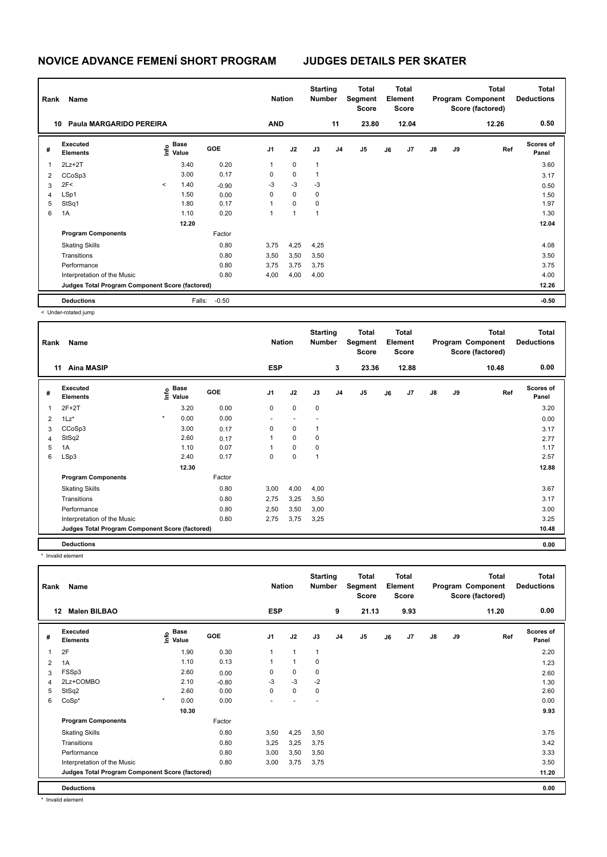| Rank | Name                                            |                          |                                  |         | <b>Nation</b>  |             | <b>Starting</b><br><b>Number</b> |                | <b>Total</b><br>Segment<br><b>Score</b> |    | <b>Total</b><br>Element<br><b>Score</b> |    |    | <b>Total</b><br>Program Component<br>Score (factored) | <b>Total</b><br><b>Deductions</b> |
|------|-------------------------------------------------|--------------------------|----------------------------------|---------|----------------|-------------|----------------------------------|----------------|-----------------------------------------|----|-----------------------------------------|----|----|-------------------------------------------------------|-----------------------------------|
| 10   | Paula MARGARIDO PEREIRA                         |                          |                                  |         | <b>AND</b>     |             |                                  | 11             | 23.80                                   |    | 12.04                                   |    |    | 12.26                                                 | 0.50                              |
| #    | Executed<br><b>Elements</b>                     |                          | <b>Base</b><br>o Base<br>⊆ Value | GOE     | J <sub>1</sub> | J2          | J3                               | J <sub>4</sub> | J <sub>5</sub>                          | J6 | J7                                      | J8 | J9 | Ref                                                   | <b>Scores of</b><br>Panel         |
|      | $2Lz+2T$                                        |                          | 3.40                             | 0.20    | 1              | $\mathbf 0$ | $\mathbf{1}$                     |                |                                         |    |                                         |    |    |                                                       | 3.60                              |
| 2    | CCoSp3                                          |                          | 3.00                             | 0.17    | 0              | $\mathbf 0$ | $\mathbf{1}$                     |                |                                         |    |                                         |    |    |                                                       | 3.17                              |
| 3    | 2F<                                             | $\overline{\phantom{a}}$ | 1.40                             | $-0.90$ | $-3$           | $-3$        | $-3$                             |                |                                         |    |                                         |    |    |                                                       | 0.50                              |
| 4    | LSp1                                            |                          | 1.50                             | 0.00    | $\Omega$       | $\mathbf 0$ | $\mathbf 0$                      |                |                                         |    |                                         |    |    |                                                       | 1.50                              |
| 5    | StSq1                                           |                          | 1.80                             | 0.17    | 1              | $\Omega$    | 0                                |                |                                         |    |                                         |    |    |                                                       | 1.97                              |
| 6    | 1A                                              |                          | 1.10                             | 0.20    | 1              | 1           | 1                                |                |                                         |    |                                         |    |    |                                                       | 1.30                              |
|      |                                                 |                          | 12.20                            |         |                |             |                                  |                |                                         |    |                                         |    |    |                                                       | 12.04                             |
|      | <b>Program Components</b>                       |                          |                                  | Factor  |                |             |                                  |                |                                         |    |                                         |    |    |                                                       |                                   |
|      | <b>Skating Skills</b>                           |                          |                                  | 0.80    | 3,75           | 4,25        | 4,25                             |                |                                         |    |                                         |    |    |                                                       | 4.08                              |
|      | Transitions                                     |                          |                                  | 0.80    | 3,50           | 3,50        | 3,50                             |                |                                         |    |                                         |    |    |                                                       | 3.50                              |
|      | Performance                                     |                          |                                  | 0.80    | 3,75           | 3,75        | 3,75                             |                |                                         |    |                                         |    |    |                                                       | 3.75                              |
|      | Interpretation of the Music                     |                          |                                  | 0.80    | 4,00           | 4,00        | 4,00                             |                |                                         |    |                                         |    |    |                                                       | 4.00                              |
|      | Judges Total Program Component Score (factored) |                          |                                  |         |                |             |                                  |                |                                         |    |                                         |    |    |                                                       | 12.26                             |
|      | <b>Deductions</b>                               |                          | Falls:                           | $-0.50$ |                |             |                                  |                |                                         |    |                                         |    |    |                                                       | $-0.50$                           |

< Under-rotated jump

| Rank           | Name                                            |         |                                  |        | <b>Nation</b>            |             | <b>Starting</b><br><b>Number</b> |                | <b>Total</b><br>Segment<br><b>Score</b> |    | Total<br>Element<br><b>Score</b> |               |    | <b>Total</b><br>Program Component<br>Score (factored) | <b>Total</b><br><b>Deductions</b> |
|----------------|-------------------------------------------------|---------|----------------------------------|--------|--------------------------|-------------|----------------------------------|----------------|-----------------------------------------|----|----------------------------------|---------------|----|-------------------------------------------------------|-----------------------------------|
|                | <b>Aina MASIP</b><br>11                         |         |                                  |        | <b>ESP</b>               |             |                                  | 3              | 23.36                                   |    | 12.88                            |               |    | 10.48                                                 | 0.00                              |
| #              | Executed<br><b>Elements</b>                     |         | <b>Base</b><br>e Base<br>⊆ Value | GOE    | J <sub>1</sub>           | J2          | J3                               | J <sub>4</sub> | J5                                      | J6 | J7                               | $\mathsf{J}8$ | J9 | Ref                                                   | <b>Scores of</b><br>Panel         |
| 1              | $2F+2T$                                         |         | 3.20                             | 0.00   | 0                        | $\mathbf 0$ | 0                                |                |                                         |    |                                  |               |    |                                                       | 3.20                              |
| $\overline{2}$ | $1\text{Lz}^*$                                  | $\star$ | 0.00                             | 0.00   | $\overline{\phantom{a}}$ |             |                                  |                |                                         |    |                                  |               |    |                                                       | 0.00                              |
| 3              | CCoSp3                                          |         | 3.00                             | 0.17   | 0                        | $\mathbf 0$ | 1                                |                |                                         |    |                                  |               |    |                                                       | 3.17                              |
| $\overline{4}$ | StSq2                                           |         | 2.60                             | 0.17   | 1                        | 0           | 0                                |                |                                         |    |                                  |               |    |                                                       | 2.77                              |
| 5              | 1A                                              |         | 1.10                             | 0.07   | 1                        | 0           | 0                                |                |                                         |    |                                  |               |    |                                                       | 1.17                              |
| 6              | LSp3                                            |         | 2.40                             | 0.17   | 0                        | 0           | 1                                |                |                                         |    |                                  |               |    |                                                       | 2.57                              |
|                |                                                 |         | 12.30                            |        |                          |             |                                  |                |                                         |    |                                  |               |    |                                                       | 12.88                             |
|                | <b>Program Components</b>                       |         |                                  | Factor |                          |             |                                  |                |                                         |    |                                  |               |    |                                                       |                                   |
|                | <b>Skating Skills</b>                           |         |                                  | 0.80   | 3,00                     | 4,00        | 4,00                             |                |                                         |    |                                  |               |    |                                                       | 3.67                              |
|                | Transitions                                     |         |                                  | 0.80   | 2,75                     | 3,25        | 3,50                             |                |                                         |    |                                  |               |    |                                                       | 3.17                              |
|                | Performance                                     |         |                                  | 0.80   | 2,50                     | 3,50        | 3,00                             |                |                                         |    |                                  |               |    |                                                       | 3.00                              |
|                | Interpretation of the Music                     |         |                                  | 0.80   | 2,75                     | 3,75        | 3,25                             |                |                                         |    |                                  |               |    |                                                       | 3.25                              |
|                | Judges Total Program Component Score (factored) |         |                                  |        |                          |             |                                  |                |                                         |    |                                  |               |    |                                                       | 10.48                             |
|                | <b>Deductions</b>                               |         |                                  |        |                          |             |                                  |                |                                         |    |                                  |               |    |                                                       | 0.00                              |

\* Invalid element

| Rank | Name                                            |                                    |            | <b>Nation</b>  |                | <b>Starting</b><br><b>Number</b> |                | Total<br>Segment<br><b>Score</b> |    | Total<br>Element<br><b>Score</b> |               |    | <b>Total</b><br>Program Component<br>Score (factored) | <b>Total</b><br><b>Deductions</b> |
|------|-------------------------------------------------|------------------------------------|------------|----------------|----------------|----------------------------------|----------------|----------------------------------|----|----------------------------------|---------------|----|-------------------------------------------------------|-----------------------------------|
|      | <b>Malen BILBAO</b><br>12                       |                                    |            | <b>ESP</b>     |                |                                  | 9              | 21.13                            |    | 9.93                             |               |    | 11.20                                                 | 0.00                              |
| #    | Executed<br><b>Elements</b>                     | <b>Base</b><br>$\frac{6}{5}$ Value | <b>GOE</b> | J <sub>1</sub> | J2             | J3                               | J <sub>4</sub> | J <sub>5</sub>                   | J6 | J7                               | $\mathsf{J}8$ | J9 | Ref                                                   | <b>Scores of</b><br>Panel         |
| 1    | 2F                                              | 1.90                               | 0.30       | $\mathbf{1}$   | $\overline{1}$ | $\mathbf{1}$                     |                |                                  |    |                                  |               |    |                                                       | 2.20                              |
| 2    | 1A                                              | 1.10                               | 0.13       | 1              | $\overline{1}$ | 0                                |                |                                  |    |                                  |               |    |                                                       | 1.23                              |
| 3    | FSSp3                                           | 2.60                               | 0.00       | 0              | $\mathbf 0$    | 0                                |                |                                  |    |                                  |               |    |                                                       | 2.60                              |
| 4    | 2Lz+COMBO                                       | 2.10                               | $-0.80$    | $-3$           | $-3$           | $-2$                             |                |                                  |    |                                  |               |    |                                                       | 1.30                              |
| 5    | StSq2                                           | 2.60                               | 0.00       | 0              | $\mathbf 0$    | 0                                |                |                                  |    |                                  |               |    |                                                       | 2.60                              |
| 6    | CoSp*                                           | $\star$<br>0.00                    | 0.00       | ٠              |                | ٠                                |                |                                  |    |                                  |               |    |                                                       | 0.00                              |
|      |                                                 | 10.30                              |            |                |                |                                  |                |                                  |    |                                  |               |    |                                                       | 9.93                              |
|      | <b>Program Components</b>                       |                                    | Factor     |                |                |                                  |                |                                  |    |                                  |               |    |                                                       |                                   |
|      | <b>Skating Skills</b>                           |                                    | 0.80       | 3,50           | 4,25           | 3,50                             |                |                                  |    |                                  |               |    |                                                       | 3.75                              |
|      | Transitions                                     |                                    | 0.80       | 3,25           | 3,25           | 3,75                             |                |                                  |    |                                  |               |    |                                                       | 3.42                              |
|      | Performance                                     |                                    | 0.80       | 3,00           | 3,50           | 3,50                             |                |                                  |    |                                  |               |    |                                                       | 3.33                              |
|      | Interpretation of the Music                     |                                    | 0.80       | 3,00           | 3,75           | 3,75                             |                |                                  |    |                                  |               |    |                                                       | 3.50                              |
|      | Judges Total Program Component Score (factored) |                                    |            |                |                |                                  |                |                                  |    |                                  |               |    |                                                       | 11.20                             |
|      | <b>Deductions</b>                               |                                    |            |                |                |                                  |                |                                  |    |                                  |               |    |                                                       | 0.00                              |

\* Invalid element